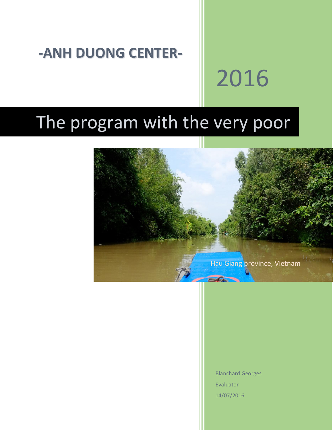## **-ANH DUONG CENTER-**

# 2016

## The program with the very poor



Blanchard Georges Evaluator 14/07/2016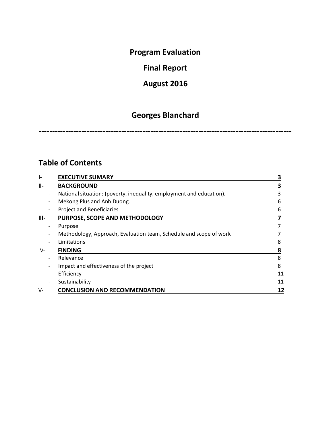### **Program Evaluation**

## **Final Report**

## **August 2016**

## **Georges Blanchard**

**-----------------------------------------------------------------------------------------------**

### **Table of Contents**

| ŀ.         |                          | <b>EXECUTIVE SUMARY</b>                                              |    |
|------------|--------------------------|----------------------------------------------------------------------|----|
| <b>II-</b> |                          | <b>BACKGROUND</b>                                                    |    |
|            | $\overline{\phantom{a}}$ | National situation: (poverty, inequality, employment and education). | 3  |
|            |                          | Mekong Plus and Anh Duong.                                           | 6  |
|            |                          | <b>Project and Beneficiaries</b>                                     | 6  |
| $III -$    |                          | PURPOSE, SCOPE AND METHODOLOGY                                       |    |
|            | $\overline{\phantom{a}}$ | Purpose                                                              |    |
|            |                          | Methodology, Approach, Evaluation team, Schedule and scope of work   |    |
|            |                          | Limitations                                                          | 8  |
| IV-        |                          | <b>FINDING</b>                                                       | 8  |
|            | $\overline{\phantom{a}}$ | Relevance                                                            | 8  |
|            |                          | Impact and effectiveness of the project                              | 8  |
|            |                          | Efficiency                                                           | 11 |
|            |                          | Sustainability                                                       | 11 |
| V-         |                          | <b>CONCLUSION AND RECOMMENDATION</b>                                 | 12 |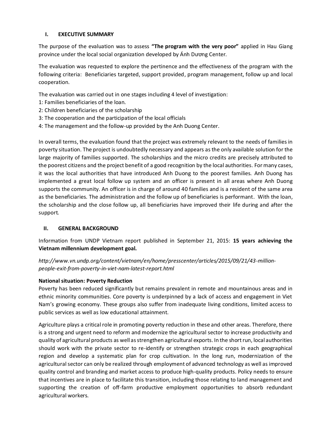#### **I. EXECUTIVE SUMMARY**

The purpose of the evaluation was to assess **"The program with the very poor"** applied in Hau Giang province under the local social organization developed by Ánh Dương Center.

The evaluation was requested to explore the pertinence and the effectiveness of the program with the following criteria: Beneficiaries targeted, support provided, program management, follow up and local cooperation.

The evaluation was carried out in one stages including 4 level of investigation:

- 1: Families beneficiaries of the loan.
- 2: Children beneficiaries of the scholarship
- 3: The cooperation and the participation of the local officials
- 4: The management and the follow-up provided by the Anh Duong Center.

In overall terms, the evaluation found that the project was extremely relevant to the needs of families in poverty situation. The project is undoubtedly necessary and appears as the only available solution for the large majority of families supported. The scholarships and the micro credits are precisely attributed to the poorest citizens and the project benefit of a good recognition by the local authorities. Formany cases, it was the local authorities that have introduced Anh Duong to the poorest families. Anh Duong has implemented a great local follow up system and an officer is present in all areas where Anh Duong supports the community. An officer is in charge of around 40 families and is a resident of the same area as the beneficiaries. The administration and the follow up of beneficiaries is performant. With the loan, the scholarship and the close follow up, all beneficiaries have improved their life during and after the support.

#### **II. GENERAL BACKGROUND**

Information from UNDP Vietnam report published in September 21, 2015: **15 years achieving the Vietnam millennium development goal.**

*http://www.vn.undp.org/content/vietnam/en/home/presscenter/articles/2015/09/21/43-millionpeople-exit-from-poverty-in-viet-nam-latest-report.html*

#### **National situation: Poverty Reduction**

Poverty has been reduced significantly but remains prevalent in remote and mountainous areas and in ethnic minority communities. Core poverty is underpinned by a lack of access and engagement in Viet Nam's growing economy. These groups also suffer from inadequate living conditions, limited access to public services as well as low educational attainment.

Agriculture plays a critical role in promoting poverty reduction in these and other areas. Therefore, there is a strong and urgent need to reform and modernize the agricultural sector to increase productivity and quality of agricultural products as well as strengthen agricultural exports. In the short run, local authorities should work with the private sector to re-identify or strengthen strategic crops in each geographical region and develop a systematic plan for crop cultivation. In the long run, modernization of the agricultural sector can only be realized through employment of advanced technology as well as improved quality control and branding and market access to produce high-quality products. Policy needs to ensure that incentives are in place to facilitate this transition, including those relating to land management and supporting the creation of off-farm productive employment opportunities to absorb redundant agricultural workers.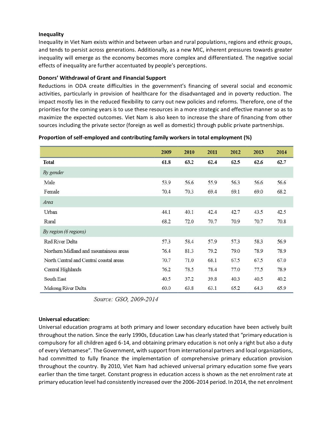#### **Inequality**

Inequality in Viet Nam exists within and between urban and rural populations, regions and ethnic groups, and tends to persist across generations. Additionally, as a new MIC, inherent pressures towards greater inequality will emerge as the economy becomes more complex and differentiated. The negative social effects of inequality are further accentuated by people's perceptions.

#### **Donors' Withdrawal of Grant and Financial Support**

Reductions in ODA create difficulties in the government's financing of several social and economic activities, particularly in provision of healthcare for the disadvantaged and in poverty reduction. The impact mostly lies in the reduced flexibility to carry out new policies and reforms. Therefore, one of the priorities for the coming years is to use these resources in a more strategic and effective manner so as to maximize the expected outcomes. Viet Nam is also keen to increase the share of financing from other sources including the private sector (foreign as well as domestic) through public private partnerships.

|                                         | 2009 | 2010 | 2011 | 2012 | 2013 | 2014 |
|-----------------------------------------|------|------|------|------|------|------|
| <b>Total</b>                            | 61.8 | 63.2 | 62.4 | 62.5 | 62.6 | 62.7 |
| By gender                               |      |      |      |      |      |      |
| Male                                    | 53.9 | 56.6 | 55.9 | 56.3 | 56.6 | 56.6 |
| Female                                  | 70.4 | 70.3 | 69.4 | 69.1 | 69.0 | 68.2 |
| Area                                    |      |      |      |      |      |      |
| Urban                                   | 44.1 | 40.1 | 42.4 | 42.7 | 43.5 | 42.5 |
| Rural                                   | 68.2 | 72.0 | 70.7 | 70.9 | 70.7 | 70.8 |
| By region (6 regions)                   |      |      |      |      |      |      |
| Red River Delta                         | 57.3 | 58.4 | 57.9 | 57.3 | 58.3 | 56.9 |
| Northern Midland and mountainous areas  | 76.4 | 81.3 | 79.2 | 79.0 | 78.9 | 78.9 |
| North Central and Central coastal areas | 70.7 | 71.0 | 68.1 | 67.5 | 67.5 | 67.0 |
| Central Highlands                       | 76.2 | 78.5 | 78.4 | 77.0 | 77.5 | 78.9 |
| South East                              | 40.5 | 37.2 | 39.8 | 40.3 | 40.5 | 40.2 |
| Mekong River Delta                      | 60.0 | 63.8 | 63.1 | 65.2 | 64.3 | 65.9 |

#### **Proportion of self-employed and contributing family workers in total employment (%)**

Source: GSO, 2009-2014

#### **Universal education:**

Universal education programs at both primary and lower secondary education have been actively built throughout the nation. Since the early 1990s, Education Law has clearly stated that "primary education is compulsory for all children aged 6-14, and obtaining primary education is not only a right but also a duty of every Vietnamese". The Government, with support from international partners and local organizations, had committed to fully finance the implementation of comprehensive primary education provision throughout the country. By 2010, Viet Nam had achieved universal primary education some five years earlier than the time target. Constant progress in education access is shown as the net enrolment rate at primary education level had consistently increased over the 2006-2014 period. In 2014, the net enrolment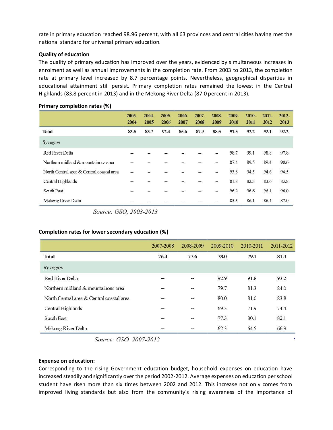rate in primary education reached 98.96 percent, with all 63 provinces and central cities having met the national standard for universal primary education.

#### **Quality of education**

The quality of primary education has improved over the years, evidenced by simultaneous increases in enrolment as well as annual improvements in the completion rate. From 2003 to 2013, the completion rate at primary level increased by 8.7 percentage points. Nevertheless, geographical disparities in educational attainment still persist. Primary completion rates remained the lowest in the Central Highlands (83.8 percent in 2013) and in the Mekong River Delta (87.0 percent in 2013).

|                                           | $2003 -$<br>2004 | $2004 -$<br>2005 | $2005 -$<br>2006 | $2006 -$<br>2007 | $2007 -$<br>2008 | 2008-<br>2009  | 2009-<br>2010 | $2010 -$<br>2011 | $2011 -$<br>2012 | $2012 -$<br>2013 |
|-------------------------------------------|------------------|------------------|------------------|------------------|------------------|----------------|---------------|------------------|------------------|------------------|
| <b>Total</b>                              | 83.5             | 83.7             | 92.4             | 85.6             | 87.9             | 88.5           | 91.5          | 92.2             | 92.1             | 92.2             |
| By region                                 |                  |                  |                  |                  |                  |                |               |                  |                  |                  |
| Red River Delta                           | 77               |                  |                  |                  |                  | --             | 98.7          | 99.1             | 98.8             | 97.8             |
| Northern midland & mountainous area       | --               |                  |                  |                  |                  | --             | 87.4          | 89.5             | 89.4             | 90.6             |
| North Central area & Central coastal area |                  |                  |                  |                  |                  | $\frac{1}{2}$  | 93.8          | 94.5             | 94.6             | 94.5             |
| Central Highlands                         | --               |                  | ÷                |                  |                  | --             | 81.8          | 83.3             | 83.6             | 83.8             |
| South East                                |                  |                  |                  |                  |                  | $\overline{a}$ | 96.2          | 96.6             | 96.1             | 96.0             |
| Mekong River Delta                        |                  |                  |                  |                  |                  |                | 85.5          | 86.1             | 86.4             | 87.0             |

#### **Primary completion rates (%)**

Source: GSO, 2003-2013

#### **Completion rates for lower secondary education (%)**

|                                           | 2007-2008 | 2008-2009                | 2009-2010 | 2010-2011 | 2011-2012 |
|-------------------------------------------|-----------|--------------------------|-----------|-----------|-----------|
| <b>Total</b>                              | 76.4      | 77.6                     | 78.0      | 79.1      | 81.3      |
| By region                                 |           |                          |           |           |           |
| Red River Delta                           | --        | --                       | 92.9      | 91.8      | 93.2      |
| Northern midland & mountainous area       | --        | --                       | 79.7      | 81.3      | 84.0      |
| North Central area & Central coastal area | - 14      | --                       | 80.0      | 81.0      | 83.8      |
| Central Highlands                         | --        | $\overline{\phantom{a}}$ | 69.3      | 71.9      | 74.4      |
| South East                                | ÷.        | W.                       | 77.3      | 80.1      | 82.1      |
| Mekong River Delta                        | --        | --                       | 62.3      | 64.5      | 66.9      |

Source: GSO. 2007-2012

#### **Expense on education:**

Corresponding to the rising Government education budget, household expenses on education have increased steadily and significantly over the period 2002-2012. Average expenses on education per school student have risen more than six times between 2002 and 2012. This increase not only comes from improved living standards but also from the community's rising awareness of the importance of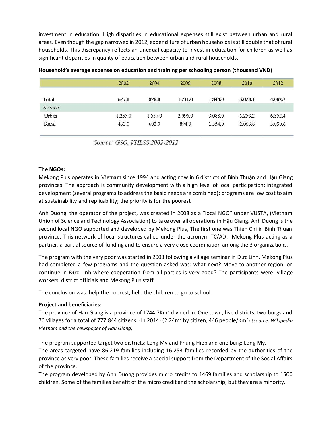investment in education. High disparities in educational expenses still exist between urban and rural areas. Even though the gap narrowed in 2012, expenditure of urban households is still double that of rural households. This discrepancy reflects an unequal capacity to invest in education for children as well as significant disparities in quality of education between urban and rural households.

|              | 2002    | 2004    | 2006    | 2008    | 2010    | 2012    |
|--------------|---------|---------|---------|---------|---------|---------|
| <b>Total</b> | 627.0   | 826.0   | 1.211.0 | 1,844.0 | 3,028.1 | 4,082.2 |
| By area      |         |         |         |         |         |         |
| Urban        | 1.255.0 | 1,537.0 | 2,096.0 | 3,088.0 | 5.253.2 | 6,352.4 |
| Rural        | 433.0   | 602.0   | 894.0   | 1.354.0 | 2,063.8 | 3,090.6 |

#### **Household's average expense on education and training per schooling person (thousand VND)**

Source: GSO, VHLSS 2002-2012

#### **The NGOs:**

Mekong Plus operates in Vietnam since 1994 and acting now in 6 districts of Bình Thuận and Hậu Giang provinces. The approach is community development with a high level of local participation; integrated development (several programs to address the basic needs are combined); programs are low cost to aim at sustainability and replicability; the priority is for the poorest.

Anh Duong, the operator of the project, was created in 2008 as a "local NGO" under VUSTA, (Vietnam Union of Science and Technology Association) to take over all operations in Hậu Giang. Anh Duong is the second local NGO supported and developed by Mekong Plus, The first one was Thien Chi in Binh Thuan province. This network of local structures called under the acronym TC/AD. Mekong Plus acting as a partner, a partial source of funding and to ensure a very close coordination among the 3 organizations.

The program with the very poor was started in 2003 following a village seminar in Đức Linh. Mekong Plus had completed a few programs and the question asked was: what next? Move to another region, or continue in Đức Linh where cooperation from all parties is very good? The participants were: village workers, district officials and Mekong Plus staff.

The conclusion was: help the poorest, help the children to go to school.

#### **Project and beneficiaries:**

The province of Hau Giang is a province of 1744.7Km² divided in: One town, five districts, two burgs and 76 villages for a total of 777.844 citizens. (In 2014) (2.24m² by citizen, 446 people/Km²) *(Source: Wikipedia Vietnam and the newspaper of Hau Giang)*

The program supported target two districts: Long My and Phung Hiep and one burg: Long My.

The areas targeted have 86.219 families including 16.253 families recorded by the authorities of the province as very poor. These families receive a special support from the Department of the Social Affairs of the province.

The program developed by Anh Duong provides micro credits to 1469 families and scholarship to 1500 children. Some of the families benefit of the micro credit and the scholarship, but they are a minority.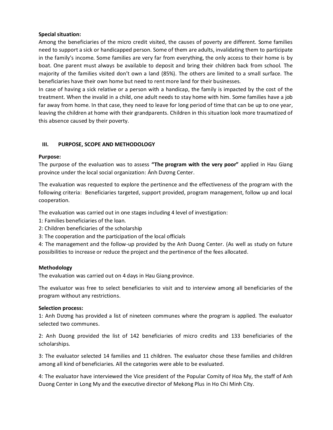#### **Special situation:**

Among the beneficiaries of the micro credit visited, the causes of poverty are different. Some families need to support a sick or handicapped person. Some of them are adults, invalidating them to participate in the family's income. Some families are very far from everything, the only access to their home is by boat. One parent must always be available to deposit and bring their children back from school. The majority of the families visited don't own a land (85%). The others are limited to a small surface. The beneficiaries have their own home but need to rent more land for their businesses.

In case of having a sick relative or a person with a handicap, the family is impacted by the cost of the treatment. When the invalid in a child, one adult needs to stay home with him. Some families have a job far away from home. In that case, they need to leave for long period of time that can be up to one year, leaving the children at home with their grandparents. Children in this situation look more traumatized of this absence caused by their poverty.

#### **III. PURPOSE, SCOPE AND METHODOLOGY**

#### **Purpose:**

The purpose of the evaluation was to assess **"The program with the very poor"** applied in Hau Giang province under the local social organization: Ánh Dương Center.

The evaluation was requested to explore the pertinence and the effectiveness of the program with the following criteria: Beneficiaries targeted, support provided, program management, follow up and local cooperation.

The evaluation was carried out in one stages including 4 level of investigation:

- 1: Families beneficiaries of the loan.
- 2: Children beneficiaries of the scholarship
- 3: The cooperation and the participation of the local officials

4: The management and the follow-up provided by the Anh Duong Center. (As well as study on future possibilities to increase or reduce the project and the pertinence of the fees allocated.

#### **Methodology**

The evaluation was carried out on 4 days in Hau Giang province.

The evaluator was free to select beneficiaries to visit and to interview among all beneficiaries of the program without any restrictions.

#### **Selection process:**

1: Anh Dương has provided a list of nineteen communes where the program is applied. The evaluator selected two communes.

2: Anh Duong provided the list of 142 beneficiaries of micro credits and 133 beneficiaries of the scholarships.

3: The evaluator selected 14 families and 11 children. The evaluator chose these families and children among all kind of beneficiaries. All the categories were able to be evaluated.

4: The evaluator have interviewed the Vice president of the Popular Comity of Hoa My, the staff of Anh Duong Center in Long My and the executive director of Mekong Plus in Ho Chi Minh City.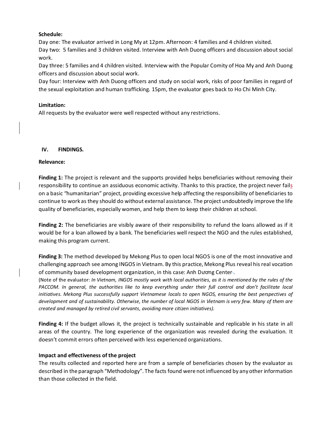#### **Schedule:**

Day one: The evaluator arrived in Long My at 12pm. Afternoon: 4 families and 4 children visited. Day two: 5 families and 3 children visited. Interview with Anh Duong officers and discussion about social work.

Day three: 5 families and 4 children visited. Interview with the Popular Comity of Hoa My and Anh Duong officers and discussion about social work.

Day four: Interview with Anh Duong officers and study on social work, risks of poor families in regard of the sexual exploitation and human trafficking. 15pm, the evaluator goes back to Ho Chi Minh City.

#### **Limitation:**

All requests by the evaluator were well respected without any restrictions.

#### **IV. FINDINGS.**

#### **Relevance:**

**Finding 1:** The project is relevant and the supports provided helps beneficiaries without removing their responsibility to continue an assiduous economic activity. Thanks to this practice, the project never fails on a basic "humanitarian" project, providing excessive help affecting the responsibility of beneficiaries to continue to work as they should do without external assistance. The project undoubtedly improve the life quality of beneficiaries, especially women, and help them to keep their children at school.

**Finding 2:** The beneficiaries are visibly aware of their responsibility to refund the loans allowed as if it would be for a loan allowed by a bank. The beneficiaries well respect the NGO and the rules established, making this program current.

**Finding 3:** The method developed by Mekong Plus to open local NGOS is one of the most innovative and challenging approach see among INGOS in Vietnam. By this practice, Mekong Plus reveal his real vocation of community based development organization, in this case: Anh Dương Center .

(Note of the evaluator: *In Vietnam, INGOS mostly work with local authorities, as it is mentioned by the rules of the PACCOM. In general, the authorities like to keep everything under their full control and don't facilitate local initiatives. Mekong Plus successfully support Vietnamese locals to open NGOS, ensuring the best perspectives of development and of sustainability. Otherwise, the number of local NGOS in Vietnam is very few. Many of them are created and managed by retired civil servants, avoiding more citizen initiatives).*

**Finding 4:** If the budget allows it, the project is technically sustainable and replicable in his state in all areas of the country. The long experience of the organization was revealed during the evaluation. It doesn't commit errors often perceived with less experienced organizations.

#### **Impact and effectiveness of the project**

The results collected and reported here are from a sample of beneficiaries chosen by the evaluator as described in the paragraph "Methodology". The facts found were not influenced by any other information than those collected in the field.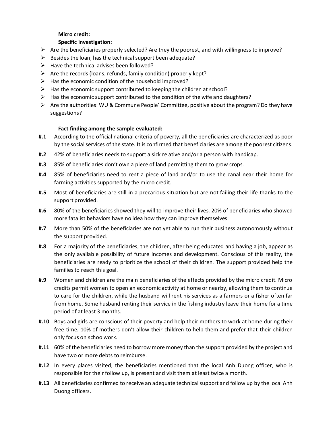#### **Micro credit:**

#### **Specific investigation:**

- $\triangleright$  Are the beneficiaries properly selected? Are they the poorest, and with willingness to improve?
- $\triangleright$  Besides the loan, has the technical support been adequate?
- $\triangleright$  Have the technical advises been followed?
- $\triangleright$  Are the records (loans, refunds, family condition) properly kept?
- $\triangleright$  Has the economic condition of the household improved?
- $\triangleright$  Has the economic support contributed to keeping the children at school?
- $\triangleright$  Has the economic support contributed to the condition of the wife and daughters?
- $\triangleright$  Are the authorities: WU & Commune People' Committee, positive about the program? Do they have suggestions?

#### **Fact finding among the sample evaluated:**

- **#.1** According to the official national criteria of poverty, all the beneficiaries are characterized as poor by the social services of the state. It is confirmed that beneficiaries are among the poorest citizens.
- **#.2** 42% of beneficiaries needs to support a sick relative and/or a person with handicap.
- **#.3** 85% of beneficiaries don't own a piece of land permitting them to grow crops.
- **#.4** 85% of beneficiaries need to rent a piece of land and/or to use the canal near their home for farming activities supported by the micro credit.
- **#.5** Most of beneficiaries are still in a precarious situation but are not failing their life thanks to the support provided.
- **#.6** 80% of the beneficiaries showed they will to improve their lives. 20% of beneficiaries who showed more fatalist behaviors have no idea how they can improve themselves.
- **#.7** More than 50% of the beneficiaries are not yet able to run their business autonomously without the support provided.
- **#.8** For a majority of the beneficiaries, the children, after being educated and having a job, appear as the only available possibility of future incomes and development. Conscious of this reality, the beneficiaries are ready to prioritize the school of their children. The support provided help the families to reach this goal.
- **#.9** Women and children are the main beneficiaries of the effects provided by the micro credit. Micro credits permit women to open an economic activity at home or nearby, allowing them to continue to care for the children, while the husband will rent his services as a farmers or a fisher often far from home. Some husband renting their service in the fishing industry leave their home for a time period of at least 3 months.
- **#.10** Boys and girls are conscious of their poverty and help their mothers to work at home during their free time. 10% of mothers don't allow their children to help them and prefer that their children only focus on schoolwork.
- **#.11** 60% of the beneficiaries need to borrow more money than the support provided by the project and have two or more debts to reimburse.
- **#.12** In every places visited, the beneficiaries mentioned that the local Anh Duong officer, who is responsible for their follow up, is present and visit them at least twice a month.
- **#.13** All beneficiaries confirmed to receive an adequate technical support and follow up by the local Anh Duong officers.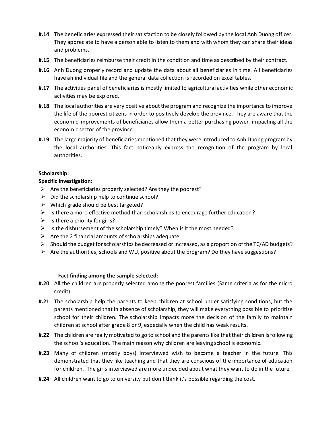- **#.14** The beneficiaries expressed their satisfaction to be closely followed by the local Anh Duong officer. They appreciate to have a person able to listen to them and with whom they can share their ideas and problems.
- **#.15** The beneficiaries reimburse their credit in the condition and time as described by their contract.
- **#.16** Anh Duong properly record and update the data about all beneficiaries in time. All beneficiaries have an individual file and the general data collection is recorded on excel tables.
- **#.17** The activities panel of beneficiaries is mostly limited to agricultural activities while other economic activities may be explored.
- **#.18** The local authorities are very positive about the program and recognize the importance to improve the life of the poorest citizens in order to positively develop the province. They are aware that the economic improvements of beneficiaries allow them a better purchasing power, impacting all the economic sector of the province.
- **#.19** The large majority of beneficiaries mentioned that they were introduced to Anh Duong program by the local authorities. This fact noticeably express the recognition of the program by local authorities.

#### **Scholarship:**

#### **Specific investigation:**

- $\triangleright$  Are the beneficiaries properly selected? Are they the poorest?
- $\triangleright$  Did the scholarship help to continue school?
- $\triangleright$  Which grade should be best targeted?
- $\triangleright$  Is there a more effective method than scholarships to encourage further education?
- $\triangleright$  Is there a priority for girls?
- $\triangleright$  Is the disbursement of the scholarship timely? When is it the most needed?
- $\triangleright$  Are the 2 financial amounts of scholarships adequate
- $\triangleright$  Should the budget for scholarships be decreased or increased, as a proportion of the TC/AD budgets?
- $\triangleright$  Are the authorities, schools and WU, positive about the program? Do they have suggestions?

#### **Fact finding among the sample selected:**

- **#.20** All the children are properly selected among the poorest families (Same criteria as for the micro credit).
- **#.21** The scholarship help the parents to keep children at school under satisfying conditions, but the parents mentioned that in absence of scholarship, they will make everything possible to prioritize school for their children. The scholarship impacts more the decision of the family to maintain children at school after grade 8 or 9, especially when the child has weak results.
- **#.22** The children are really motivated to go to school and the parents like that their children is following the school's education. The main reason why children are leaving school is economic.
- **#.23** Many of children (mostly boys) interviewed wish to become a teacher in the future. This demonstrated that they like teaching and that they are conscious of the importance of education for children. The girls interviewed are more undecided about what they want to do in the future.
- **#.24** All children want to go to university but don't think it's possible regarding the cost.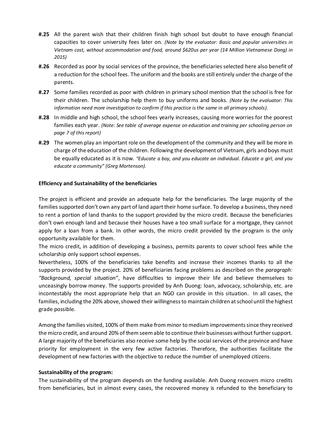- **#.25** All the parent wish that their children finish high school but doubt to have enough financial capacities to cover university fees later on. *(Note by the evaluator: Basic and popular universities in Vietnam cost, without accommodation and food, around \$620us per year (14 Million Vietnamese Dong) in 2015)*
- **#.26** Recorded as poor by social services of the province, the beneficiaries selected here also benefit of a reduction for the school fees. The uniform and the books are still entirely under the charge of the parents.
- **#.27** Some families recorded as poor with children in primary school mention that the school is free for their children. The scholarship help them to buy uniforms and books. *(Note by the evaluator: This information need more investigation to confirm if this practice is the same in all primary schools).*
- **#.28** In middle and high school, the school fees yearly increases, causing more worries for the poorest families each year. *(Note: See table of average expense on education and training per schooling person on page 7 of this report)*
- **#.29** The women play an important role on the development of the community and they will be more in charge of the education of the children. Following the development of Vietnam, girls and boys must be equally educated as it is now. *"Educate a boy, and you educate an individual. Educate a girl, and you educate a community" (Greg Mortenson).*

#### **Efficiency and Sustainability of the beneficiaries**

The project is efficient and provide an adequate help for the beneficiaries. The large majority of the families supported don't own any part of land apart their home surface. To develop a business, they need to rent a portion of land thanks to the support provided by the micro credit. Because the beneficiaries don't own enough land and because their houses have a too small surface for a mortgage, they cannot apply for a loan from a bank. In other words, the micro credit provided by the program is the only opportunity available for them.

The micro credit, in addition of developing a business, permits parents to cover school fees while the scholarship only support school expenses.

Nevertheless, 100% of the beneficiaries take benefits and increase their incomes thanks to all the supports provided by the project. 20% of beneficiaries facing problems as described on the *paragraph: "Background, special situation"*, have difficulties to improve their life and believe themselves to unceasingly borrow money. The supports provided by Anh Duong: loan, advocacy, scholarship, etc. are incontestably the most appropriate help that an NGO can provide in this situation. In all cases, the families, including the 20% above, showed their willingnessto maintain children at school until the highest grade possible.

Among the families visited, 100% of them make from minor to medium improvementssince they received the micro credit, and around 20% of them seem able to continue their businesses without further support. A large majority of the beneficiaries also receive some help by the social services of the province and have priority for employment in the very few active factories. Therefore, the authorities facilitate the development of new factories with the objective to reduce the number of unemployed citizens.

#### **Sustainability of the program:**

The sustainability of the program depends on the funding available. Anh Duong recovers micro credits from beneficiaries, but in almost every cases, the recovered money is refunded to the beneficiary to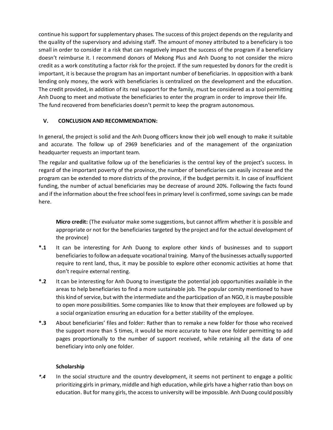continue his support for supplementary phases. The success of this project depends on the regularity and the quality of the supervisory and advising staff. The amount of money attributed to a beneficiary is too small in order to consider it a risk that can negatively impact the success of the program if a beneficiary doesn't reimburse it. I recommend donors of Mekong Plus and Anh Duong to not consider the micro credit as a work constituting a factor risk for the project. If the sum requested by donors for the credit is important, it is because the program has an important number of beneficiaries. In opposition with a bank lending only money, the work with beneficiaries is centralized on the development and the education. The credit provided, in addition of its real support for the family, must be considered as a tool permitting Anh Duong to meet and motivate the beneficiaries to enter the program in order to improve their life. The fund recovered from beneficiaries doesn't permit to keep the program autonomous.

#### **V. CONCLUSION AND RECOMMENDATION:**

In general, the project is solid and the Anh Duong officers know their job well enough to make it suitable and accurate. The follow up of 2969 beneficiaries and of the management of the organization headquarter requests an important team.

The regular and qualitative follow up of the beneficiaries is the central key of the project's success. In regard of the important poverty of the province, the number of beneficiaries can easily increase and the program can be extended to more districts of the province, if the budget permits it. In case of insufficient funding, the number of actual beneficiaries may be decrease of around 20%. Following the facts found and if the information about the free school fees in primary level is confirmed, some savings can be made here.

**Micro credit:** (The evaluator make some suggestions, but cannot affirm whether it is possible and appropriate or not for the beneficiaries targeted by the project and for the actual development of the province)

- **\*.1** It can be interesting for Anh Duong to explore other kinds of businesses and to support beneficiaries to follow an adequate vocational training. Many of the businesses actually supported require to rent land, thus, it may be possible to explore other economic activities at home that don't require external renting.
- **\*.2** It can be interesting for Anh Duong to investigate the potential job opportunities available in the areas to help beneficiaries to find a more sustainable job. The popular comity mentioned to have this kind of service, but with the intermediate and the participation of an NGO, it is maybe possible to open more possibilities. Some companies like to know that their employees are followed up by a social organization ensuring an education for a better stability of the employee.
- **\*.3** About beneficiaries' files and folder: Rather than to remake a new folder for those who received the support more than 5 times, it would be more accurate to have one folder permitting to add pages proportionally to the number of support received, while retaining all the data of one beneficiary into only one folder.

#### **Scholarship**

*\*.4* In the social structure and the country development, it seems not pertinent to engage a politic prioritizing girls in primary, middle and high education, while girls have a higher ratio than boys on education. But for many girls, the access to university will be impossible. Anh Duong could possibly